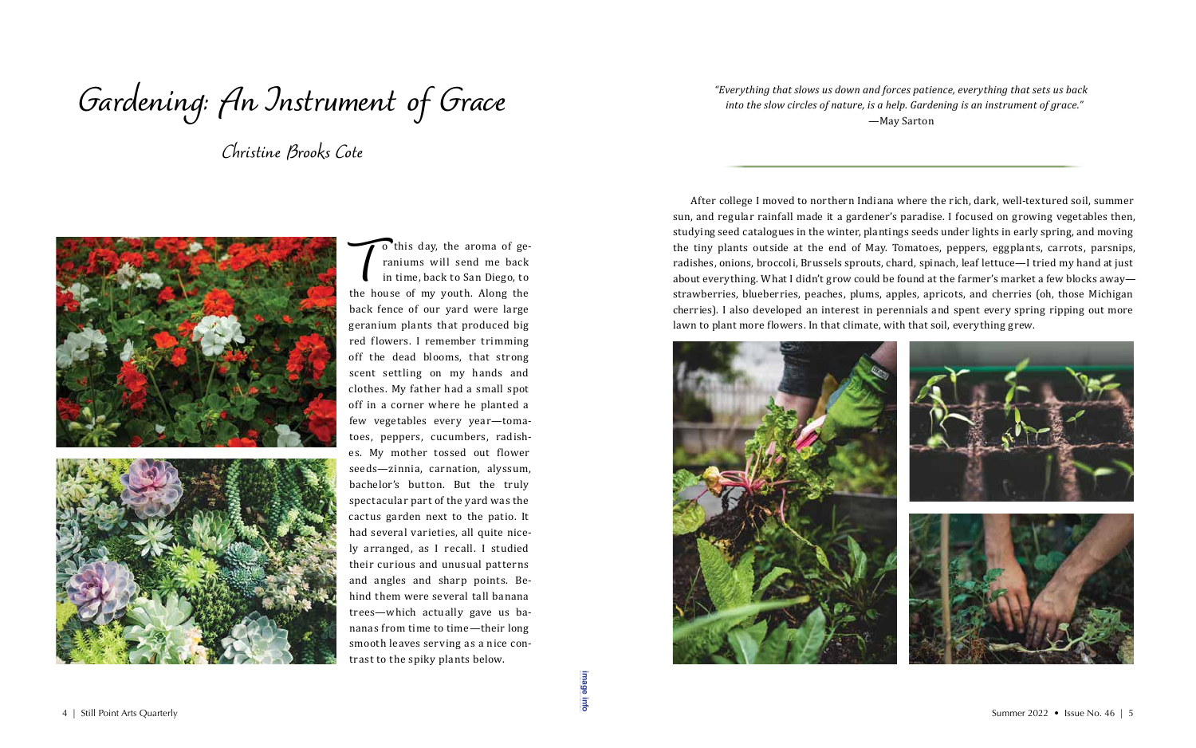The house of my youth. Along the house of my youth. Along the o this day, the aroma of geraniums will send me back in time, back to San Diego, to back fence of our yard were large geranium plants that produced big red flowers. I remember trimming off the dead blooms, that strong scent settling on my hands and clothes. My father had a small spot off in a corner where he planted a few vegetables every year—tomatoes, peppers, cucumbers, radishes. My mother tossed out flower seeds—zinnia, carnation, alyssum, bachelor's button. But the truly spectacular part of the yard was the cactus garden next to the patio. It had several varieties, all quite nicely arranged, as I recall. I studied their curious and unusual patterns and angles and sharp points. Behind them were several tall banana trees—which actually gave us bananas from time to time—their long smooth leaves serving as a nice contrast to the spiky plants below.

After college I moved to northern Indiana where the rich, dark, well-textured soil, summer sun, and regular rainfall made it a gardener's paradise. I focused on growing vegetables then, studying seed catalogues in the winter, plantings seeds under lights in early spring, and moving the tiny plants outside at the end of May. Tomatoes, peppers, eggplants, carrots, parsnips, radishes, onions, broccoli, Brussels sprouts, chard, spinach, leaf lettuce—I tried my hand at just about everything. What I didn't grow could be found at the farmer's market a few blocks away strawberries, blueberries, peaches, plums, apples, apricots, and cherries (oh, those Michigan cherries). I also developed an interest in perennials and spent every spring ripping out more lawn to plant more flowers. In that climate, with that soil, everything grew.







*"Everything that slows us down and forces patience, everything that sets us back into the slow circles of nature, is a help. Gardening is an instrument of grace."* 

## Fiverything that slows us down and forces patie (Grace into the slow circles of nature, is a help. Garden and Sorton and Sorton and Sorton **Grace** into the slow circles of nature, is a help. Garden and Sarton and Sarton an

*Christine Brooks Cote*



**[image info](http://www.shantiarts.co/SPAQ/SPAQ46/files/SPAQ46_SUM22_DIGITAL_IMAGECREDITS.pdf)**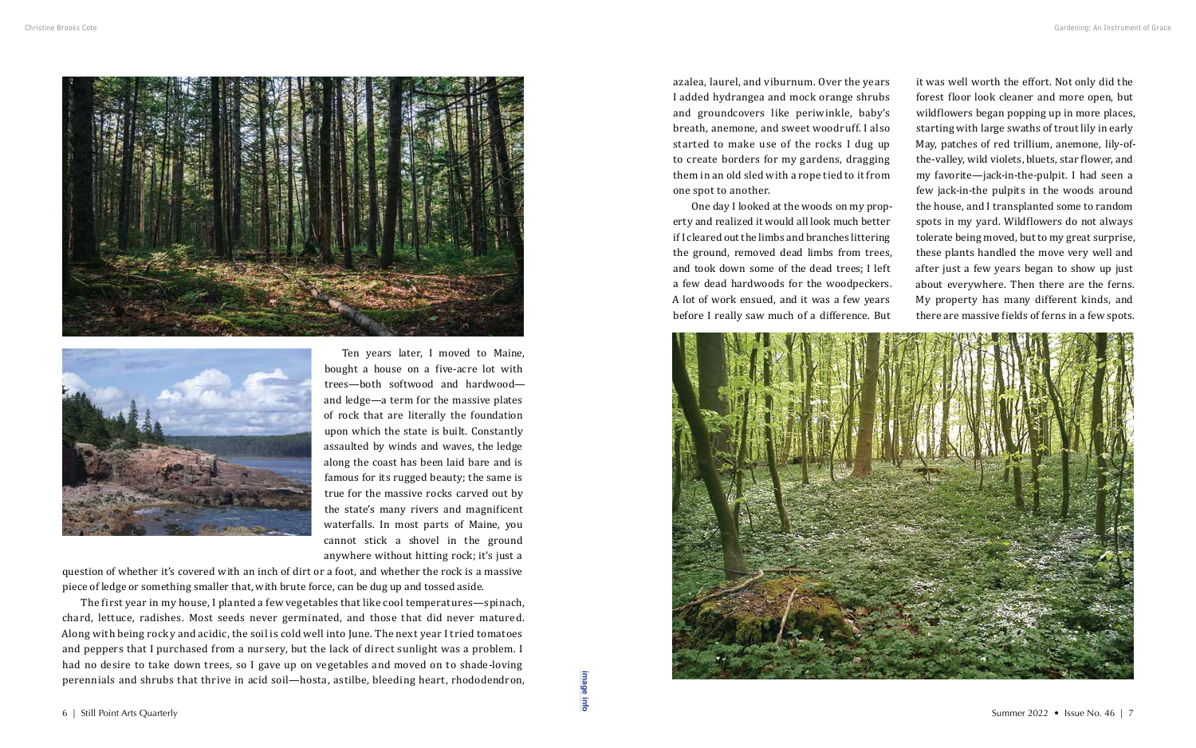



Ten years later, I moved to Maine, bought a house on a five-acre lot with trees—both softwood and hardwood and ledge—a term for the massive plates of rock that are literally the foundation upon which the state is built. Constantly assaulted by winds and waves, the ledge along the coast has been laid bare and is famous for its rugged beauty; the same is true for the massive rocks carved out by the state's many rivers and magnificent waterfalls. In most parts of Maine, you cannot stick a shovel in the ground anywhere without hitting rock; it's just a

The first year in my house, I planted a few vegetables that like cool temperatures—spinach, chard, lettuce, radishes. Most seeds never germinated, and those that did never matured. Along with being rocky and acidic, the soil is cold well into June. The next year I tried tomatoes and peppers that I purchased from a nursery, but the lack of direct sunlight was a problem. I had no desire to take down trees, so I gave up on vegetables and moved on to shade-loving perennials and shrubs that thrive in acid soil—hosta, astilbe, bleeding heart, rhododendron, of the Summer 2022 • Issue No. 46 | 7<br>6 | Still Point Arts Quarterly Summer 2022 • Issue No. 46 | 7

question of whether it's covered with an inch of dirt or a foot, and whether the rock is a massive piece of ledge or something smaller that, with brute force, can be dug up and tossed aside.

azalea, laurel, and viburnum. Over the years I added hydrangea and mock orange shrubs and groundcovers like periwinkle, baby's breath, anemone, and sweet woodruff. I also started to make use of the rocks I dug up to create borders for my gardens, dragging them in an old sled with a rope tied to it from one spot to another.

One day I looked at the woods on my property and realized it would all look much better if I cleared out the limbs and branches littering the ground, removed dead limbs from trees, and took down some of the dead trees; I left a few dead hardwoods for the woodpeckers. A lot of work ensued, and it was a few years before I really saw much of a difference. But



it was well worth the effort. Not only did the forest floor look cleaner and more open, but wildflowers began popping up in more places, starting with large swaths of trout lily in early May, patches of red trillium, anemone, lily-ofthe-valley, wild violets, bluets, star flower, and my favorite—jack-in-the-pulpit. I had seen a few jack-in-the pulpits in the woods around the house, and I transplanted some to random spots in my yard. Wildflowers do not always tolerate being moved, but to my great surprise, these plants handled the move very well and after just a few years began to show up just about everywhere. Then there are the ferns. My property has many different kinds, and there are massive fields of ferns in a few spots.